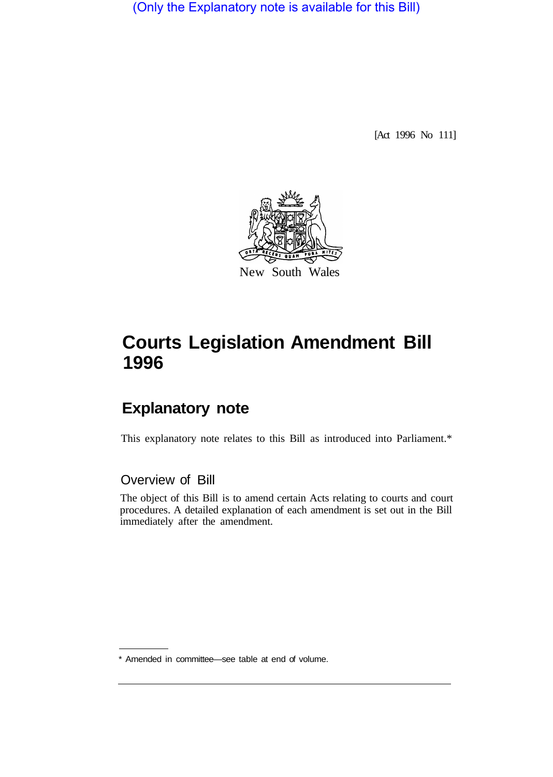(Only the Explanatory note is available for this Bill)

[Act 1996 No 111]



## **Courts Legislation Amendment Bill 1996**

## **Explanatory note**

This explanatory note relates to this Bill as introduced into Parliament.\*

## Overview of Bill

The object of this Bill is to amend certain Acts relating to courts and court procedures. A detailed explanation of each amendment is set out in the Bill immediately after the amendment.

<sup>\*</sup> Amended in committee—see table at end of volume.